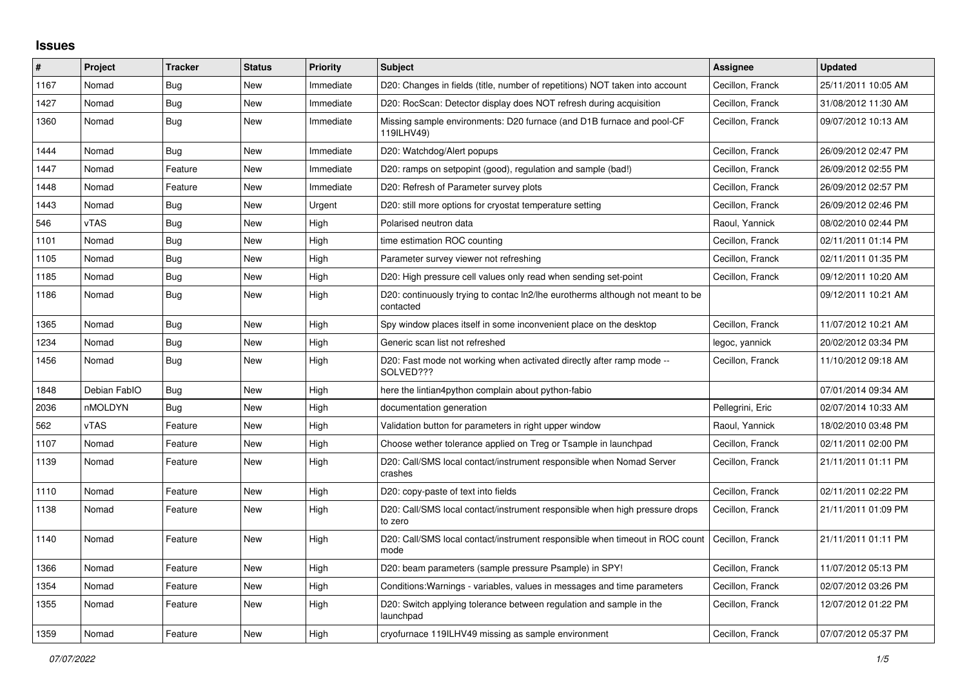## **Issues**

| #    | Project      | <b>Tracker</b> | <b>Status</b> | <b>Priority</b> | <b>Subject</b>                                                                              | <b>Assignee</b>  | <b>Updated</b>      |
|------|--------------|----------------|---------------|-----------------|---------------------------------------------------------------------------------------------|------------------|---------------------|
| 1167 | Nomad        | Bug            | New           | Immediate       | D20: Changes in fields (title, number of repetitions) NOT taken into account                | Cecillon, Franck | 25/11/2011 10:05 AM |
| 1427 | Nomad        | <b>Bug</b>     | New           | Immediate       | D20: RocScan: Detector display does NOT refresh during acquisition                          | Cecillon, Franck | 31/08/2012 11:30 AM |
| 1360 | Nomad        | <b>Bug</b>     | New           | Immediate       | Missing sample environments: D20 furnace (and D1B furnace and pool-CF<br>119ILHV49)         | Cecillon, Franck | 09/07/2012 10:13 AM |
| 1444 | Nomad        | <b>Bug</b>     | New           | Immediate       | D20: Watchdog/Alert popups                                                                  | Cecillon, Franck | 26/09/2012 02:47 PM |
| 1447 | Nomad        | Feature        | New           | Immediate       | D20: ramps on setpopint (good), regulation and sample (bad!)                                | Cecillon, Franck | 26/09/2012 02:55 PM |
| 1448 | Nomad        | Feature        | <b>New</b>    | Immediate       | D20: Refresh of Parameter survey plots                                                      | Cecillon, Franck | 26/09/2012 02:57 PM |
| 1443 | Nomad        | <b>Bug</b>     | New           | Urgent          | D20: still more options for cryostat temperature setting                                    | Cecillon, Franck | 26/09/2012 02:46 PM |
| 546  | vTAS         | <b>Bug</b>     | New           | High            | Polarised neutron data                                                                      | Raoul, Yannick   | 08/02/2010 02:44 PM |
| 1101 | Nomad        | <b>Bug</b>     | New           | High            | time estimation ROC counting                                                                | Cecillon, Franck | 02/11/2011 01:14 PM |
| 1105 | Nomad        | <b>Bug</b>     | New           | High            | Parameter survey viewer not refreshing                                                      | Cecillon, Franck | 02/11/2011 01:35 PM |
| 1185 | Nomad        | <b>Bug</b>     | New           | High            | D20: High pressure cell values only read when sending set-point                             | Cecillon, Franck | 09/12/2011 10:20 AM |
| 1186 | Nomad        | Bug            | New           | High            | D20: continuously trying to contac ln2/lhe eurotherms although not meant to be<br>contacted |                  | 09/12/2011 10:21 AM |
| 1365 | Nomad        | <b>Bug</b>     | New           | High            | Spy window places itself in some inconvenient place on the desktop                          | Cecillon, Franck | 11/07/2012 10:21 AM |
| 1234 | Nomad        | <b>Bug</b>     | New           | High            | Generic scan list not refreshed                                                             | legoc, yannick   | 20/02/2012 03:34 PM |
| 1456 | Nomad        | <b>Bug</b>     | New           | High            | D20: Fast mode not working when activated directly after ramp mode --<br>SOLVED???          | Cecillon, Franck | 11/10/2012 09:18 AM |
| 1848 | Debian FablO | <b>Bug</b>     | <b>New</b>    | High            | here the lintian4python complain about python-fabio                                         |                  | 07/01/2014 09:34 AM |
| 2036 | nMOLDYN      | Bug            | New           | High            | documentation generation                                                                    | Pellegrini, Eric | 02/07/2014 10:33 AM |
| 562  | vTAS         | Feature        | New           | High            | Validation button for parameters in right upper window                                      | Raoul, Yannick   | 18/02/2010 03:48 PM |
| 1107 | Nomad        | Feature        | New           | High            | Choose wether tolerance applied on Treg or Tsample in launchpad                             | Cecillon, Franck | 02/11/2011 02:00 PM |
| 1139 | Nomad        | Feature        | New           | High            | D20: Call/SMS local contact/instrument responsible when Nomad Server<br>crashes             | Cecillon, Franck | 21/11/2011 01:11 PM |
| 1110 | Nomad        | Feature        | <b>New</b>    | High            | D20: copy-paste of text into fields                                                         | Cecillon, Franck | 02/11/2011 02:22 PM |
| 1138 | Nomad        | Feature        | New           | High            | D20: Call/SMS local contact/instrument responsible when high pressure drops<br>to zero      | Cecillon, Franck | 21/11/2011 01:09 PM |
| 1140 | Nomad        | Feature        | New           | High            | D20: Call/SMS local contact/instrument responsible when timeout in ROC count<br>mode        | Cecillon, Franck | 21/11/2011 01:11 PM |
| 1366 | Nomad        | Feature        | <b>New</b>    | High            | D20: beam parameters (sample pressure Psample) in SPY!                                      | Cecillon, Franck | 11/07/2012 05:13 PM |
| 1354 | Nomad        | Feature        | New           | High            | Conditions: Warnings - variables, values in messages and time parameters                    | Cecillon, Franck | 02/07/2012 03:26 PM |
| 1355 | Nomad        | Feature        | New           | High            | D20: Switch applying tolerance between regulation and sample in the<br>launchpad            | Cecillon, Franck | 12/07/2012 01:22 PM |
| 1359 | Nomad        | Feature        | New           | High            | cryofurnace 119ILHV49 missing as sample environment                                         | Cecillon, Franck | 07/07/2012 05:37 PM |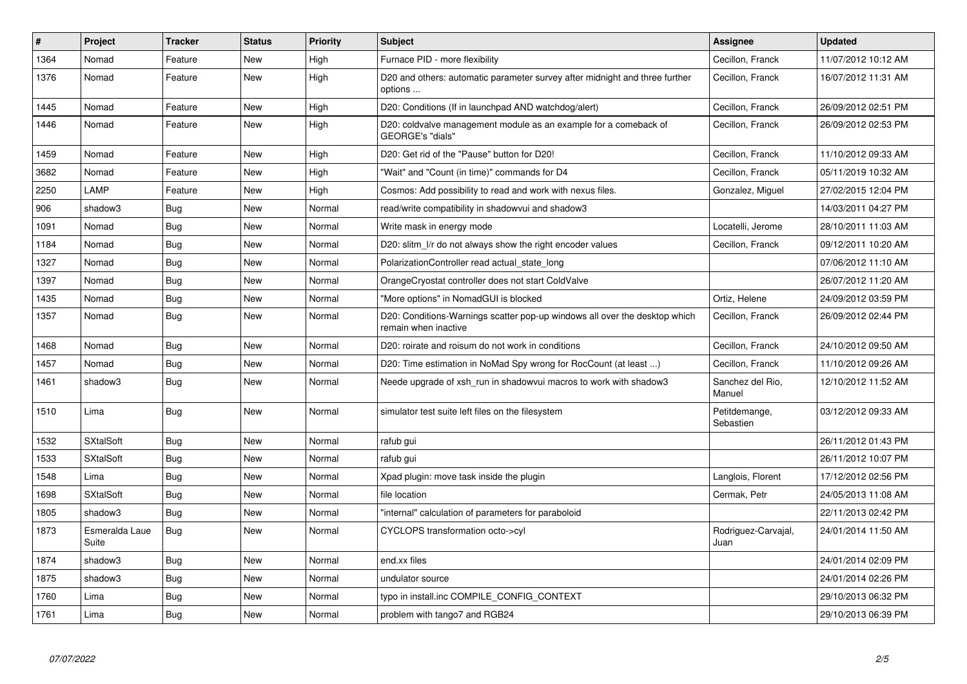| $\#$ | Project                 | <b>Tracker</b> | <b>Status</b> | <b>Priority</b> | <b>Subject</b>                                                                                     | Assignee                    | <b>Updated</b>      |
|------|-------------------------|----------------|---------------|-----------------|----------------------------------------------------------------------------------------------------|-----------------------------|---------------------|
| 1364 | Nomad                   | Feature        | New           | High            | Furnace PID - more flexibility                                                                     | Cecillon, Franck            | 11/07/2012 10:12 AM |
| 1376 | Nomad                   | Feature        | New           | High            | D20 and others: automatic parameter survey after midnight and three further<br>options             | Cecillon, Franck            | 16/07/2012 11:31 AM |
| 1445 | Nomad                   | Feature        | New           | High            | D20: Conditions (If in launchpad AND watchdog/alert)                                               | Cecillon, Franck            | 26/09/2012 02:51 PM |
| 1446 | Nomad                   | Feature        | <b>New</b>    | High            | D20: coldvalve management module as an example for a comeback of<br>GEORGE's "dials"               | Cecillon, Franck            | 26/09/2012 02:53 PM |
| 1459 | Nomad                   | Feature        | New           | High            | D20: Get rid of the "Pause" button for D20!                                                        | Cecillon, Franck            | 11/10/2012 09:33 AM |
| 3682 | Nomad                   | Feature        | <b>New</b>    | High            | "Wait" and "Count (in time)" commands for D4                                                       | Cecillon, Franck            | 05/11/2019 10:32 AM |
| 2250 | LAMP                    | Feature        | New           | High            | Cosmos: Add possibility to read and work with nexus files.                                         | Gonzalez, Miguel            | 27/02/2015 12:04 PM |
| 906  | shadow3                 | <b>Bug</b>     | New           | Normal          | read/write compatibility in shadowvui and shadow3                                                  |                             | 14/03/2011 04:27 PM |
| 1091 | Nomad                   | <b>Bug</b>     | New           | Normal          | Write mask in energy mode                                                                          | Locatelli, Jerome           | 28/10/2011 11:03 AM |
| 1184 | Nomad                   | <b>Bug</b>     | New           | Normal          | D20: slitm I/r do not always show the right encoder values                                         | Cecillon, Franck            | 09/12/2011 10:20 AM |
| 1327 | Nomad                   | <b>Bug</b>     | <b>New</b>    | Normal          | PolarizationController read actual state long                                                      |                             | 07/06/2012 11:10 AM |
| 1397 | Nomad                   | <b>Bug</b>     | <b>New</b>    | Normal          | OrangeCryostat controller does not start ColdValve                                                 |                             | 26/07/2012 11:20 AM |
| 1435 | Nomad                   | Bug            | New           | Normal          | "More options" in NomadGUI is blocked                                                              | Ortiz, Helene               | 24/09/2012 03:59 PM |
| 1357 | Nomad                   | <b>Bug</b>     | <b>New</b>    | Normal          | D20: Conditions-Warnings scatter pop-up windows all over the desktop which<br>remain when inactive | Cecillon, Franck            | 26/09/2012 02:44 PM |
| 1468 | Nomad                   | <b>Bug</b>     | <b>New</b>    | Normal          | D20: roirate and roisum do not work in conditions                                                  | Cecillon, Franck            | 24/10/2012 09:50 AM |
| 1457 | Nomad                   | <b>Bug</b>     | <b>New</b>    | Normal          | D20: Time estimation in NoMad Spy wrong for RocCount (at least )                                   | Cecillon, Franck            | 11/10/2012 09:26 AM |
| 1461 | shadow3                 | <b>Bug</b>     | New           | Normal          | Neede upgrade of xsh_run in shadowvui macros to work with shadow3                                  | Sanchez del Rio,<br>Manuel  | 12/10/2012 11:52 AM |
| 1510 | Lima                    | <b>Bug</b>     | <b>New</b>    | Normal          | simulator test suite left files on the filesystem                                                  | Petitdemange,<br>Sebastien  | 03/12/2012 09:33 AM |
| 1532 | <b>SXtalSoft</b>        | <b>Bug</b>     | <b>New</b>    | Normal          | rafub gui                                                                                          |                             | 26/11/2012 01:43 PM |
| 1533 | <b>SXtalSoft</b>        | Bug            | <b>New</b>    | Normal          | rafub gui                                                                                          |                             | 26/11/2012 10:07 PM |
| 1548 | Lima                    | <b>Bug</b>     | New           | Normal          | Xpad plugin: move task inside the plugin                                                           | Langlois, Florent           | 17/12/2012 02:56 PM |
| 1698 | <b>SXtalSoft</b>        | <b>Bug</b>     | New           | Normal          | file location                                                                                      | Cermak, Petr                | 24/05/2013 11:08 AM |
| 1805 | shadow3                 | Bug            | New           | Normal          | "internal" calculation of parameters for paraboloid                                                |                             | 22/11/2013 02:42 PM |
| 1873 | Esmeralda Laue<br>Suite | Bug            | <b>New</b>    | Normal          | CYCLOPS transformation octo->cyl                                                                   | Rodriguez-Carvajal,<br>Juan | 24/01/2014 11:50 AM |
| 1874 | shadow3                 | <b>Bug</b>     | <b>New</b>    | Normal          | end.xx files                                                                                       |                             | 24/01/2014 02:09 PM |
| 1875 | shadow3                 | Bug            | <b>New</b>    | Normal          | undulator source                                                                                   |                             | 24/01/2014 02:26 PM |
| 1760 | Lima                    | Bug            | <b>New</b>    | Normal          | typo in install.inc COMPILE CONFIG CONTEXT                                                         |                             | 29/10/2013 06:32 PM |
| 1761 | Lima                    | Bug            | New           | Normal          | problem with tango7 and RGB24                                                                      |                             | 29/10/2013 06:39 PM |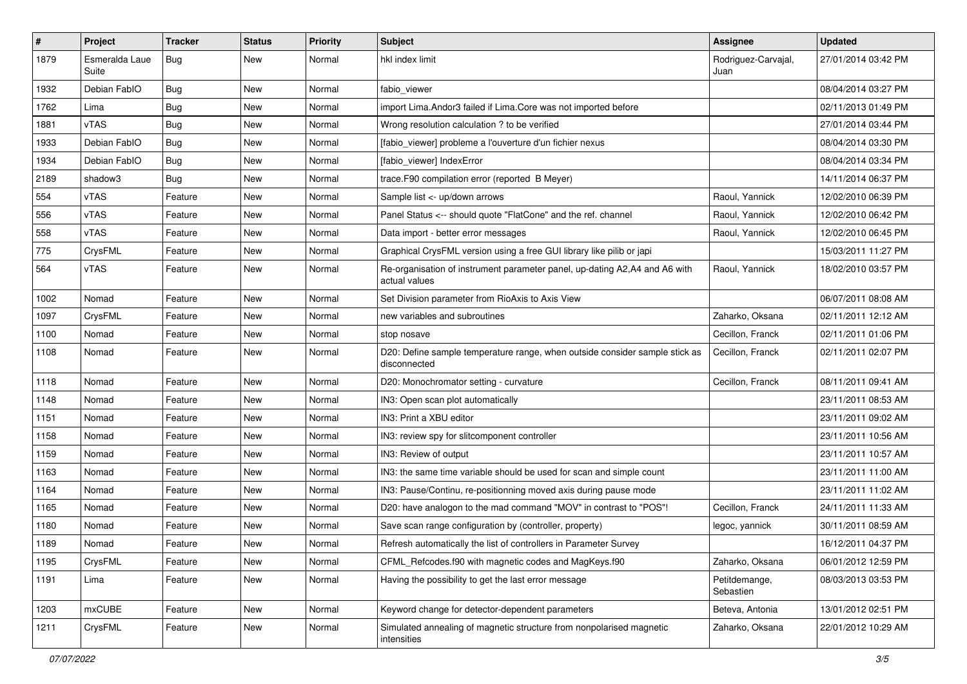| $\#$ | Project                 | Tracker    | <b>Status</b> | <b>Priority</b> | <b>Subject</b>                                                                              | <b>Assignee</b>             | <b>Updated</b>      |
|------|-------------------------|------------|---------------|-----------------|---------------------------------------------------------------------------------------------|-----------------------------|---------------------|
| 1879 | Esmeralda Laue<br>Suite | <b>Bug</b> | New           | Normal          | hkl index limit                                                                             | Rodriguez-Carvajal,<br>Juan | 27/01/2014 03:42 PM |
| 1932 | Debian FablO            | <b>Bug</b> | New           | Normal          | fabio viewer                                                                                |                             | 08/04/2014 03:27 PM |
| 1762 | Lima                    | Bug        | New           | Normal          | import Lima. Andor3 failed if Lima. Core was not imported before                            |                             | 02/11/2013 01:49 PM |
| 1881 | <b>vTAS</b>             | <b>Bug</b> | New           | Normal          | Wrong resolution calculation ? to be verified                                               |                             | 27/01/2014 03:44 PM |
| 1933 | Debian FablO            | Bug        | New           | Normal          | [fabio viewer] probleme a l'ouverture d'un fichier nexus                                    |                             | 08/04/2014 03:30 PM |
| 1934 | Debian FablO            | <b>Bug</b> | New           | Normal          | [fabio_viewer] IndexError                                                                   |                             | 08/04/2014 03:34 PM |
| 2189 | shadow3                 | <b>Bug</b> | New           | Normal          | trace.F90 compilation error (reported B Meyer)                                              |                             | 14/11/2014 06:37 PM |
| 554  | <b>vTAS</b>             | Feature    | New           | Normal          | Sample list <- up/down arrows                                                               | Raoul, Yannick              | 12/02/2010 06:39 PM |
| 556  | vTAS                    | Feature    | New           | Normal          | Panel Status <-- should quote "FlatCone" and the ref. channel                               | Raoul, Yannick              | 12/02/2010 06:42 PM |
| 558  | vTAS                    | Feature    | New           | Normal          | Data import - better error messages                                                         | Raoul, Yannick              | 12/02/2010 06:45 PM |
| 775  | CrysFML                 | Feature    | New           | Normal          | Graphical CrysFML version using a free GUI library like pilib or japi                       |                             | 15/03/2011 11:27 PM |
| 564  | vTAS                    | Feature    | New           | Normal          | Re-organisation of instrument parameter panel, up-dating A2,A4 and A6 with<br>actual values | Raoul, Yannick              | 18/02/2010 03:57 PM |
| 1002 | Nomad                   | Feature    | <b>New</b>    | Normal          | Set Division parameter from RioAxis to Axis View                                            |                             | 06/07/2011 08:08 AM |
| 1097 | CrysFML                 | Feature    | New           | Normal          | new variables and subroutines                                                               | Zaharko, Oksana             | 02/11/2011 12:12 AM |
| 1100 | Nomad                   | Feature    | New           | Normal          | stop nosave                                                                                 | Cecillon, Franck            | 02/11/2011 01:06 PM |
| 1108 | Nomad                   | Feature    | New           | Normal          | D20: Define sample temperature range, when outside consider sample stick as<br>disconnected | Cecillon, Franck            | 02/11/2011 02:07 PM |
| 1118 | Nomad                   | Feature    | <b>New</b>    | Normal          | D20: Monochromator setting - curvature                                                      | Cecillon, Franck            | 08/11/2011 09:41 AM |
| 1148 | Nomad                   | Feature    | New           | Normal          | IN3: Open scan plot automatically                                                           |                             | 23/11/2011 08:53 AM |
| 1151 | Nomad                   | Feature    | New           | Normal          | IN3: Print a XBU editor                                                                     |                             | 23/11/2011 09:02 AM |
| 1158 | Nomad                   | Feature    | New           | Normal          | IN3: review spy for slitcomponent controller                                                |                             | 23/11/2011 10:56 AM |
| 1159 | Nomad                   | Feature    | New           | Normal          | IN3: Review of output                                                                       |                             | 23/11/2011 10:57 AM |
| 1163 | Nomad                   | Feature    | New           | Normal          | IN3: the same time variable should be used for scan and simple count                        |                             | 23/11/2011 11:00 AM |
| 1164 | Nomad                   | Feature    | New           | Normal          | IN3: Pause/Continu, re-positionning moved axis during pause mode                            |                             | 23/11/2011 11:02 AM |
| 1165 | Nomad                   | Feature    | New           | Normal          | D20: have analogon to the mad command "MOV" in contrast to "POS"!                           | Cecillon, Franck            | 24/11/2011 11:33 AM |
| 1180 | Nomad                   | Feature    | New           | Normal          | Save scan range configuration by (controller, property)                                     | legoc, yannick              | 30/11/2011 08:59 AM |
| 1189 | Nomad                   | Feature    | New           | Normal          | Refresh automatically the list of controllers in Parameter Survey                           |                             | 16/12/2011 04:37 PM |
| 1195 | CrysFML                 | Feature    | New           | Normal          | CFML_Refcodes.f90 with magnetic codes and MagKeys.f90                                       | Zaharko, Oksana             | 06/01/2012 12:59 PM |
| 1191 | Lima                    | Feature    | New           | Normal          | Having the possibility to get the last error message                                        | Petitdemange,<br>Sebastien  | 08/03/2013 03:53 PM |
| 1203 | mxCUBE                  | Feature    | New           | Normal          | Keyword change for detector-dependent parameters                                            | Beteva, Antonia             | 13/01/2012 02:51 PM |
| 1211 | CrysFML                 | Feature    | New           | Normal          | Simulated annealing of magnetic structure from nonpolarised magnetic<br>intensities         | Zaharko, Oksana             | 22/01/2012 10:29 AM |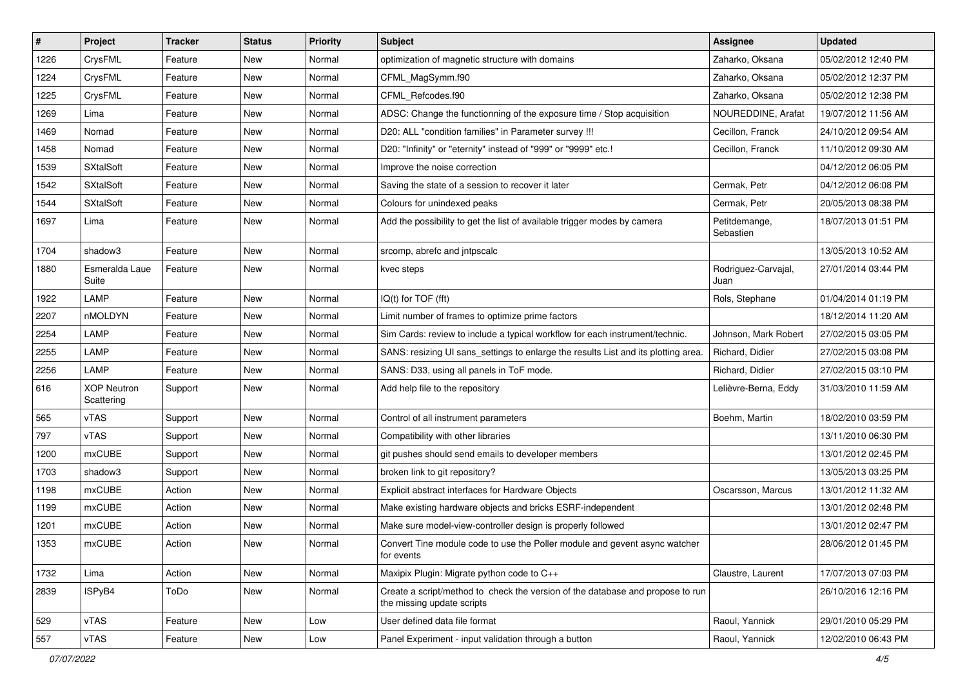| $\vert$ # | Project                          | <b>Tracker</b> | <b>Status</b> | <b>Priority</b> | <b>Subject</b>                                                                                               | <b>Assignee</b>             | <b>Updated</b>      |
|-----------|----------------------------------|----------------|---------------|-----------------|--------------------------------------------------------------------------------------------------------------|-----------------------------|---------------------|
| 1226      | CrysFML                          | Feature        | New           | Normal          | optimization of magnetic structure with domains                                                              | Zaharko, Oksana             | 05/02/2012 12:40 PM |
| 1224      | CrysFML                          | Feature        | New           | Normal          | CFML_MagSymm.f90                                                                                             | Zaharko, Oksana             | 05/02/2012 12:37 PM |
| 1225      | CrysFML                          | Feature        | New           | Normal          | CFML Refcodes.f90                                                                                            | Zaharko, Oksana             | 05/02/2012 12:38 PM |
| 1269      | Lima                             | Feature        | New           | Normal          | ADSC: Change the functionning of the exposure time / Stop acquisition                                        | NOUREDDINE, Arafat          | 19/07/2012 11:56 AM |
| 1469      | Nomad                            | Feature        | New           | Normal          | D20: ALL "condition families" in Parameter survey !!!                                                        | Cecillon, Franck            | 24/10/2012 09:54 AM |
| 1458      | Nomad                            | Feature        | New           | Normal          | D20: "Infinity" or "eternity" instead of "999" or "9999" etc.!                                               | Cecillon, Franck            | 11/10/2012 09:30 AM |
| 1539      | <b>SXtalSoft</b>                 | Feature        | New           | Normal          | Improve the noise correction                                                                                 |                             | 04/12/2012 06:05 PM |
| 1542      | <b>SXtalSoft</b>                 | Feature        | New           | Normal          | Saving the state of a session to recover it later                                                            | Cermak, Petr                | 04/12/2012 06:08 PM |
| 1544      | <b>SXtalSoft</b>                 | Feature        | New           | Normal          | Colours for unindexed peaks                                                                                  | Cermak, Petr                | 20/05/2013 08:38 PM |
| 1697      | Lima                             | Feature        | New           | Normal          | Add the possibility to get the list of available trigger modes by camera                                     | Petitdemange,<br>Sebastien  | 18/07/2013 01:51 PM |
| 1704      | shadow3                          | Feature        | New           | Normal          | srcomp, abrefc and intpscalc                                                                                 |                             | 13/05/2013 10:52 AM |
| 1880      | Esmeralda Laue<br>Suite          | Feature        | New           | Normal          | kvec steps                                                                                                   | Rodriguez-Carvajal,<br>Juan | 27/01/2014 03:44 PM |
| 1922      | LAMP                             | Feature        | New           | Normal          | IQ(t) for TOF (fft)                                                                                          | Rols, Stephane              | 01/04/2014 01:19 PM |
| 2207      | nMOLDYN                          | Feature        | New           | Normal          | Limit number of frames to optimize prime factors                                                             |                             | 18/12/2014 11:20 AM |
| 2254      | LAMP                             | Feature        | New           | Normal          | Sim Cards: review to include a typical workflow for each instrument/technic.                                 | Johnson, Mark Robert        | 27/02/2015 03:05 PM |
| 2255      | LAMP                             | Feature        | New           | Normal          | SANS: resizing UI sans_settings to enlarge the results List and its plotting area.                           | Richard, Didier             | 27/02/2015 03:08 PM |
| 2256      | LAMP                             | Feature        | New           | Normal          | SANS: D33, using all panels in ToF mode.                                                                     | Richard, Didier             | 27/02/2015 03:10 PM |
| 616       | <b>XOP Neutron</b><br>Scattering | Support        | New           | Normal          | Add help file to the repository                                                                              | Lelièvre-Berna, Eddy        | 31/03/2010 11:59 AM |
| 565       | vTAS                             | Support        | New           | Normal          | Control of all instrument parameters                                                                         | Boehm, Martin               | 18/02/2010 03:59 PM |
| 797       | <b>vTAS</b>                      | Support        | New           | Normal          | Compatibility with other libraries                                                                           |                             | 13/11/2010 06:30 PM |
| 1200      | <b>mxCUBE</b>                    | Support        | New           | Normal          | git pushes should send emails to developer members                                                           |                             | 13/01/2012 02:45 PM |
| 1703      | shadow3                          | Support        | New           | Normal          | broken link to git repository?                                                                               |                             | 13/05/2013 03:25 PM |
| 1198      | mxCUBE                           | Action         | New           | Normal          | Explicit abstract interfaces for Hardware Objects                                                            | Oscarsson, Marcus           | 13/01/2012 11:32 AM |
| 1199      | mxCUBE                           | Action         | New           | Normal          | Make existing hardware objects and bricks ESRF-independent                                                   |                             | 13/01/2012 02:48 PM |
| 1201      | mxCUBE                           | Action         | New           | Normal          | Make sure model-view-controller design is properly followed                                                  |                             | 13/01/2012 02:47 PM |
| 1353      | mxCUBE                           | Action         | New           | Normal          | Convert Tine module code to use the Poller module and gevent async watcher<br>for events                     |                             | 28/06/2012 01:45 PM |
| 1732      | Lima                             | Action         | New           | Normal          | Maxipix Plugin: Migrate python code to C++                                                                   | Claustre, Laurent           | 17/07/2013 07:03 PM |
| 2839      | ISPyB4                           | ToDo           | New           | Normal          | Create a script/method to check the version of the database and propose to run<br>the missing update scripts |                             | 26/10/2016 12:16 PM |
| 529       | vTAS                             | Feature        | <b>New</b>    | Low             | User defined data file format                                                                                | Raoul, Yannick              | 29/01/2010 05:29 PM |
| 557       | vTAS                             | Feature        | New           | Low             | Panel Experiment - input validation through a button                                                         | Raoul, Yannick              | 12/02/2010 06:43 PM |